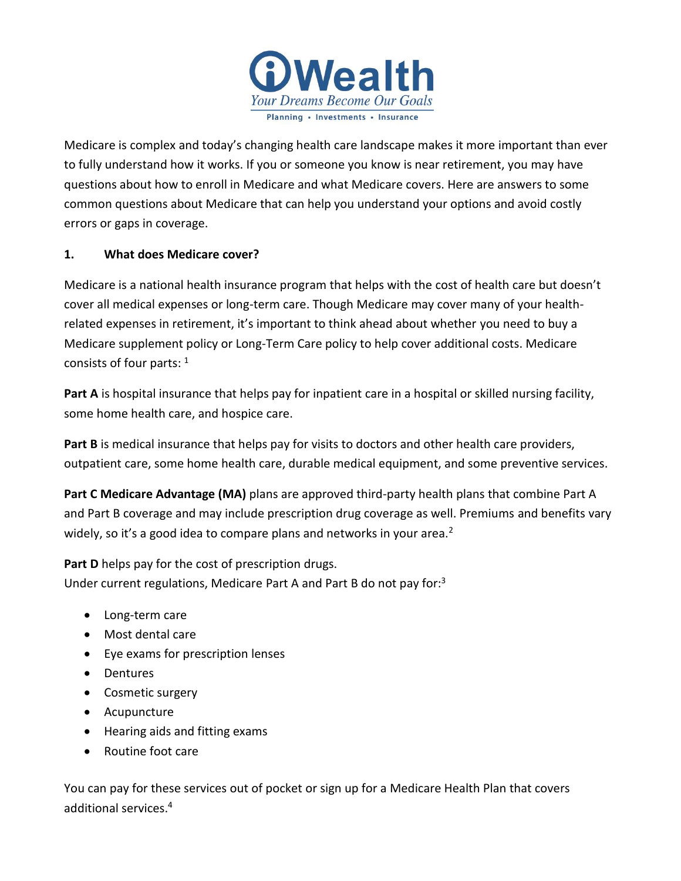

Medicare is complex and today's changing health care landscape makes it more important than ever to fully understand how it works. If you or someone you know is near retirement, you may have questions about how to enroll in Medicare and what Medicare covers. Here are answers to some common questions about Medicare that can help you understand your options and avoid costly errors or gaps in coverage.

#### **1. What does Medicare cover?**

Medicare is a national health insurance program that helps with the cost of health care but doesn't cover all medical expenses or long-term care. Though Medicare may cover many of your healthrelated expenses in retirement, it's important to think ahead about whether you need to buy a Medicare supplement policy or Long-Term Care policy to help cover additional costs. Medicare consists of four parts:  $1$ 

**Part A** is hospital insurance that helps pay for inpatient care in a hospital or skilled nursing facility, some home health care, and hospice care.

**Part B** is medical insurance that helps pay for visits to doctors and other health care providers, outpatient care, some home health care, durable medical equipment, and some preventive services.

**Part C Medicare Advantage (MA)** plans are approved third-party health plans that combine Part A and Part B coverage and may include prescription drug coverage as well. Premiums and benefits vary widely, so it's a good idea to compare plans and networks in your area.<sup>2</sup>

**Part D** helps pay for the cost of prescription drugs. Under current regulations, Medicare Part A and Part B do not pay for:<sup>3</sup>

- Long-term care
- Most dental care
- Eye exams for prescription lenses
- Dentures
- Cosmetic surgery
- Acupuncture
- Hearing aids and fitting exams
- Routine foot care

You can pay for these services out of pocket or sign up for a Medicare Health Plan that covers additional services.4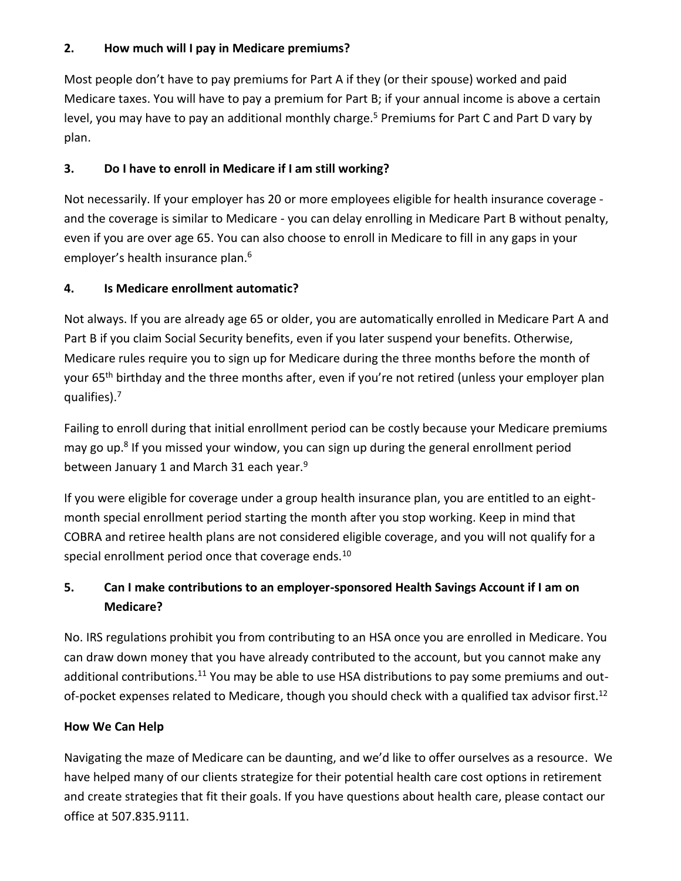#### **2. How much will I pay in Medicare premiums?**

Most people don't have to pay premiums for Part A if they (or their spouse) worked and paid Medicare taxes. You will have to pay a premium for Part B; if your annual income is above a certain level, you may have to pay an additional monthly charge.<sup>5</sup> Premiums for Part C and Part D vary by plan.

## **3. Do I have to enroll in Medicare if I am still working?**

Not necessarily. If your employer has 20 or more employees eligible for health insurance coverage and the coverage is similar to Medicare - you can delay enrolling in Medicare Part B without penalty, even if you are over age 65. You can also choose to enroll in Medicare to fill in any gaps in your employer's health insurance plan.<sup>6</sup>

## **4. Is Medicare enrollment automatic?**

Not always. If you are already age 65 or older, you are automatically enrolled in Medicare Part A and Part B if you claim Social Security benefits, even if you later suspend your benefits. Otherwise, Medicare rules require you to sign up for Medicare during the three months before the month of your 65<sup>th</sup> birthday and the three months after, even if you're not retired (unless your employer plan qualifies).<sup>7</sup>

Failing to enroll during that initial enrollment period can be costly because your Medicare premiums may go up.<sup>8</sup> If you missed your window, you can sign up during the general enrollment period between January 1 and March 31 each year.<sup>9</sup>

If you were eligible for coverage under a group health insurance plan, you are entitled to an eightmonth special enrollment period starting the month after you stop working. Keep in mind that COBRA and retiree health plans are not considered eligible coverage, and you will not qualify for a special enrollment period once that coverage ends.<sup>10</sup>

# **5. Can I make contributions to an employer-sponsored Health Savings Account if I am on Medicare?**

No. IRS regulations prohibit you from contributing to an HSA once you are enrolled in Medicare. You can draw down money that you have already contributed to the account, but you cannot make any additional contributions.<sup>11</sup> You may be able to use HSA distributions to pay some premiums and outof-pocket expenses related to Medicare, though you should check with a qualified tax advisor first.<sup>12</sup>

### **How We Can Help**

Navigating the maze of Medicare can be daunting, and we'd like to offer ourselves as a resource. We have helped many of our clients strategize for their potential health care cost options in retirement and create strategies that fit their goals. If you have questions about health care, please contact our office at 507.835.9111.